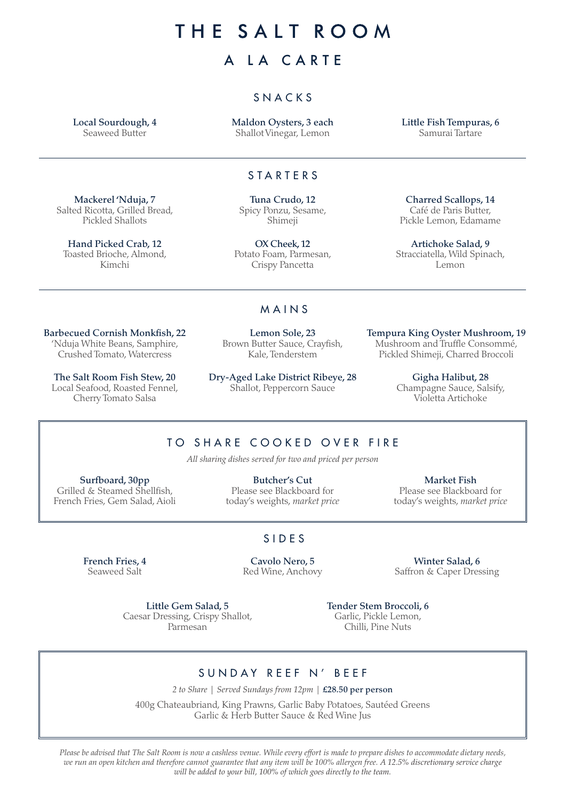# THE SALT ROOM

# A LA CARTE

### SNACKS

Local Sourdough, 4 Seaweed Butter

Maldon Oysters, 3 each Shallot Vinegar, Lemon

Little Fish Tempuras, 6 Samurai Tartare

#### STARTERS

Mackerel 'Nduja, 7 Salted Ricotta, Grilled Bread, Pickled Shallots

Hand Picked Crab, 12 Toasted Brioche, Almond, Kimchi

Tuna Crudo, 12 Spicy Ponzu, Sesame, Shimeji

OX Cheek, 12 Potato Foam, Parmesan, Crispy Pancetta

#### MAINS

Barbecued Cornish Monkfish, 22 'Nduja White Beans, Samphire, Crushed Tomato, Watercress

The Salt Room Fish Stew, 20 Local Seafood, Roasted Fennel, Cherry Tomato Salsa

Lemon Sole, 23 Brown Butter Sauce, Crayfish, Kale, Tenderstem

Dry-Aged Lake District Ribeye, 28 Shallot, Peppercorn Sauce

Charred Scallops, 14 Café de Paris Butter, Pickle Lemon, Edamame

Artichoke Salad, 9 Stracciatella, Wild Spinach, Lemon

Tempura King Oyster Mushroom, 19 Mushroom and Truffle Consommé, Pickled Shimeji, Charred Broccoli

> Gigha Halibut, 28 Champagne Sauce, Salsify, Violetta Artichoke

## TO SHARE COOKED OVER FIRE

*All sharing dishes served for two and priced per person*

Surfboard, 30pp Grilled & Steamed Shellfish. French Fries, Gem Salad, Aioli

Butcher's Cut Please see Blackboard for today's weights, *market price*

Market Fish Please see Blackboard for today's weights, *market price*

### SIDES

French Fries, 4 Seaweed Salt

Cavolo Nero, 5 Red Wine, Anchovy

Winter Salad, 6 Saffron & Caper Dressing

Little Gem Salad, 5 Caesar Dressing, Crispy Shallot, Parmesan

Tender Stem Broccoli, 6 Garlic, Pickle Lemon, Chilli, Pine Nuts

## SUNDAY REEF N' BEEF

*2 to Share | Served Sundays from 12pm |* £28.50 per person 400g Chateaubriand, King Prawns, Garlic Baby Potatoes, Sautéed Greens

Garlic & Herb Butter Sauce & Red Wine Jus

*Please be advised that The Salt Room is now a cashless venue. While every effort is made to prepare dishes to accommodate dietary needs, we run an open kitchen and therefore cannot guarantee that any item will be 100% allergen free. A 12.5% discretionary service charge will be added to your bill, 100% of which goes directly to the team.*